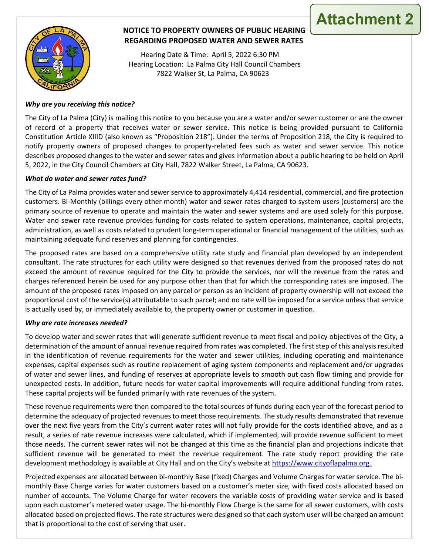

# **NOTICE TO PROPERTY OWNERS OF PUBLIC HEARING REGARDING PROPOSED WATER AND SEWER RATES**

**Attachment 2**

 Hearing Date & Time: April 5, 2022 6:30 PM Hearing Location: La Palma City Hall Council Chambers 7822 Walker St, La Palma, CA 90623

## *Why are you receiving this notice?*

The City of La Palma (City) is mailing this notice to you because you are a water and/or sewer customer or are the owner of record of a property that receives water or sewer service. This notice is being provided pursuant to California Constitution Article XIIID (also known as "Proposition 218"). Under the terms of Proposition 218, the City is required to notify property owners of proposed changes to property-related fees such as water and sewer service. This notice describes proposed changes to the water and sewer rates and gives information about a public hearing to be held on April 5, 2022, in the City Council Chambers at City Hall, 7822 Walker Street, La Palma, CA 90623.

## *What do water and sewer rates fund?*

The City of La Palma provides water and sewer service to approximately 4,414 residential, commercial, and fire protection customers. Bi-Monthly (billings every other month) water and sewer rates charged to system users (customers) are the primary source of revenue to operate and maintain the water and sewer systems and are used solely for this purpose. Water and sewer rate revenue provides funding for costs related to system operations, maintenance, capital projects, administration, as well as costs related to prudent long-term operational or financial management of the utilities, such as maintaining adequate fund reserves and planning for contingencies.

The proposed rates are based on a comprehensive utility rate study and financial plan developed by an independent consultant. The rate structures for each utility were designed so that revenues derived from the proposed rates do not exceed the amount of revenue required for the City to provide the services, nor will the revenue from the rates and charges referenced herein be used for any purpose other than that for which the corresponding rates are imposed. The amount of the proposed rates imposed on any parcel or person as an incident of property ownership will not exceed the proportional cost of the service(s) attributable to such parcel; and no rate will be imposed for a service unless that service is actually used by, or immediately available to, the property owner or customer in question.

## *Why are rate increases needed?*

To develop water and sewer rates that will generate sufficient revenue to meet fiscal and policy objectives of the City, a determination of the amount of annual revenue required from rates was completed. The first step of this analysis resulted in the identification of revenue requirements for the water and sewer utilities, including operating and maintenance expenses, capital expenses such as routine replacement of aging system components and replacement and/or upgrades of water and sewer lines, and funding of reserves at appropriate levels to smooth out cash flow timing and provide for unexpected costs. In addition, future needs for water capital improvements will require additional funding from rates. These capital projects will be funded primarily with rate revenues of the system.

These revenue requirements were then compared to the total sources of funds during each year of the forecast period to determine the adequacy of projected revenues to meet those requirements. The study results demonstrated that revenue over the next five years from the City's current water rates will not fully provide for the costs identified above, and as a result, a series of rate revenue increases were calculated, which if implemented, will provide revenue sufficient to meet those needs. The current sewer rates will not be changed at this time as the financial plan and projections indicate that sufficient revenue will be generated to meet the revenue requirement. The rate study report providing the rate development methodology is available at City Hall and on the City's website at https://www.cityoflapalma.org.

Projected expenses are allocated between bi-monthly Base (fixed) Charges and Volume Charges for water service. The bimonthly Base Charge varies for water customers based on a customer's meter size, with fixed costs allocated based on number of accounts. The Volume Charge for water recovers the variable costs of providing water service and is based upon each customer's metered water usage. The bi-monthly Flow Charge is the same for all sewer customers, with costs allocated based on projected flows. The rate structures were designed so that each system user will be charged an amount that is proportional to the cost of serving that user.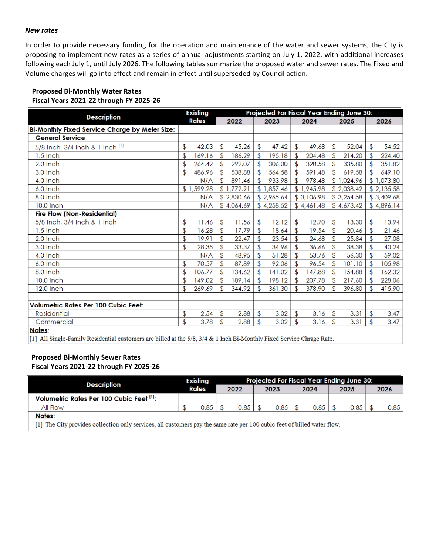#### *New rates*

In order to provide necessary funding for the operation and maintenance of the water and sewer systems, the City is proposing to implement new rates as a series of annual adjustments starting on July 1, 2022, with additional increases following each July 1, until July 2026. The following tables summarize the proposed water and sewer rates. The Fixed and Volume charges will go into effect and remain in effect until superseded by Council action.

## **Proposed Bi-Monthly Water Rates Fiscal Years 2021-22 through FY 2025-26**

|                                                |    | <b>Existing</b><br>Projected For Fiscal Year Ending June 30: |     |            |    |            |    |            |      |            |      |            |
|------------------------------------------------|----|--------------------------------------------------------------|-----|------------|----|------------|----|------------|------|------------|------|------------|
| <b>Description</b>                             |    | <b>Rates</b>                                                 |     | 2022       |    | 2023       |    | 2024       | 2025 |            | 2026 |            |
| Bi-Monthly Fixed Service Charge by Meter Size: |    |                                                              |     |            |    |            |    |            |      |            |      |            |
| <b>General Service</b>                         |    |                                                              |     |            |    |            |    |            |      |            |      |            |
| 5/8 Inch, 3/4 Inch & 1 Inch [1]                | \$ | 42.03                                                        | \$  | 45.26      | \$ | 47.42      | \$ | 49.68      | \$   | 52.04      | \$   | 54.52      |
| 1.5 Inch                                       | \$ | 169.16                                                       |     | 186.29     | \$ | 195.18     | \$ | 204.48     |      | 214.20     | \$   | 224.40     |
| 2.0 Inch                                       | \$ | 264.49                                                       | \$  | 292.07     | \$ | 306.00     | \$ | 320.58     | \$   | 335.80     | \$   | 351.82     |
| $3.0$ Inch                                     | \$ | 486.96                                                       |     | 538.88     | \$ | 564.58     | \$ | 591.48     | \$   | 619.58     | \$   | 649.10     |
| 4.0 Inch                                       |    | N/A                                                          |     | 891.46     | \$ | 933.98     |    | 978.48     |      | \$1,024.96 |      | \$1,073.80 |
| $6.0$ Inch                                     |    | \$1,599.28                                                   |     | \$1,772.91 |    | \$1,857.46 |    | \$1,945.98 |      | \$2,038.42 |      | \$2,135.58 |
| 8.0 Inch                                       |    | N/A                                                          |     | \$2,830.66 |    | \$2,965.64 |    | \$3,106.98 |      | \$3,254.58 |      | \$3,409.68 |
| 10.0 Inch                                      |    | N/A                                                          |     | \$4,064.69 |    | \$4,258.52 |    | \$4,461.48 |      | \$4,673.42 |      | \$4,896.14 |
| <b>Fire Flow (Non-Residential)</b>             |    |                                                              |     |            |    |            |    |            |      |            |      |            |
| 5/8 Inch, 3/4 Inch & 1 Inch                    | \$ | 11.46                                                        | \$  | 11.56      | \$ | 12.12      | \$ | 12.70      | \$   | 13.30      | \$   | 13.94      |
| $1.5$ Inch                                     | \$ | 16.28                                                        |     | 17.79      | \$ | 18.64      | \$ | 19.54      | \$   | 20.46      |      | 21.46      |
| 2.0 Inch                                       | \$ | 19.91                                                        | \$  | 22.47      | \$ | 23.54      | \$ | 24.68      | \$   | 25.84      | \$   | 27.08      |
| $3.0$ Inch                                     | \$ | 28.35                                                        | \$. | 33.37      | \$ | 34.96      | \$ | 36.66      | \$   | 38.38      | \$   | 40.24      |
| 4.0 Inch                                       |    | N/A                                                          |     | 48.95      | \$ | 51.28      | \$ | 53.76      |      | 56.30      | \$   | 59.02      |
| 6.0 Inch                                       | \$ | 70.57                                                        |     | 87.89      |    | 92.06      |    | 96.54      |      | 101.10     | \$   | 105.98     |
| 8.0 Inch                                       | \$ | 106.77                                                       |     | 134.62     | \$ | 141.02     | \$ | 147.88     |      | 154.88     | \$   | 162.32     |
| 10.0 Inch                                      | \$ | 149.02                                                       | £.  | 189.14     | \$ | 198.12     | \$ | 207.78     | \$.  | 217.60     | \$   | 228.06     |
| 12.0 Inch                                      | \$ | 269.69                                                       |     | 344.92     | \$ | 361.30     | \$ | 378.90     | \$   | 396.80     | \$   | 415.90     |
|                                                |    |                                                              |     |            |    |            |    |            |      |            |      |            |
| Volumetric Rates Per 100 Cubic Feet:           |    |                                                              |     |            |    |            |    |            |      |            |      |            |
| Residential                                    | \$ | 2.54                                                         | \$  | 2.88       | \$ | 3.02       | \$ | 3.16       | \$   | 3.31       | \$   | 3.47       |
| Commercial                                     | \$ | 3.78                                                         | \$  | 2.88       | \$ | 3.02       | \$ | 3.16       | \$   | 3.31       | \$   | 3.47       |
| Notes:                                         |    |                                                              |     |            |    |            |    |            |      |            |      |            |

[1] All Single-Family Residential customers are billed at the 5/8, 3/4 & 1 Inch Bi-Monthly Fixed Service Chrage Rate.

## **Proposed Bi-Monthly Sewer Rates**

**Fiscal Years 2021-22 through FY 2025-26**

| <b>Description</b>                       | <b>Existing</b><br>Rates |      | <b>Projected For Fiscal Year Ending June 30:</b> |      |      |      |      |      |      |      |      |      |  |
|------------------------------------------|--------------------------|------|--------------------------------------------------|------|------|------|------|------|------|------|------|------|--|
|                                          |                          |      | 2022                                             |      | 2023 |      | 2024 |      | 2025 |      | 2026 |      |  |
| Volumetric Rates Per 100 Cubic Feet [1]: |                          |      |                                                  |      |      |      |      |      |      |      |      |      |  |
| All Flow                                 |                          | 0.85 |                                                  | 0.85 |      | 0.85 |      | 0.85 |      | 0.85 |      | 0.85 |  |
| Notes:                                   |                          |      |                                                  |      |      |      |      |      |      |      |      |      |  |

[1] The City provides collection only services, all customers pay the same rate per 100 cubic feet of billed water flow.